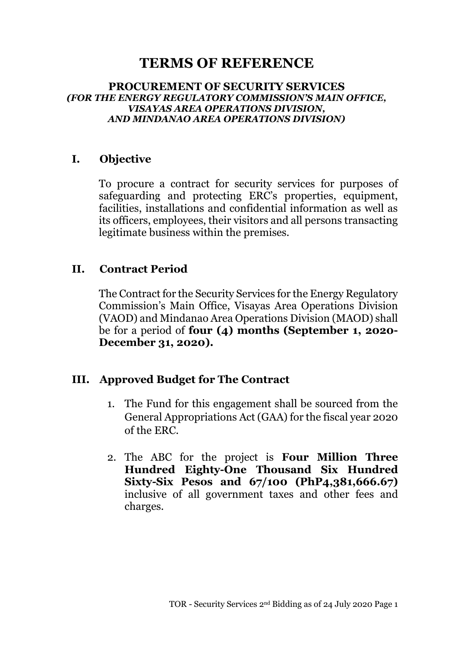# **TERMS OF REFERENCE**

#### **PROCUREMENT OF SECURITY SERVICES**  *(FOR THE ENERGY REGULATORY COMMISSION'S MAIN OFFICE, VISAYAS AREA OPERATIONS DIVISION, AND MINDANAO AREA OPERATIONS DIVISION)*

### **I. Objective**

To procure a contract for security services for purposes of safeguarding and protecting ERC's properties, equipment, facilities, installations and confidential information as well as its officers, employees, their visitors and all persons transacting legitimate business within the premises.

### **II. Contract Period**

The Contract for the Security Services for the Energy Regulatory Commission's Main Office, Visayas Area Operations Division (VAOD) and Mindanao Area Operations Division (MAOD) shall be for a period of **four (4) months (September 1, 2020- December 31, 2020).**

#### **III. Approved Budget for The Contract**

- 1. The Fund for this engagement shall be sourced from the General Appropriations Act (GAA) for the fiscal year 2020 of the ERC.
- 2. The ABC for the project is **Four Million Three Hundred Eighty-One Thousand Six Hundred Sixty-Six Pesos and 67/100 (PhP4,381,666.67)** inclusive of all government taxes and other fees and charges.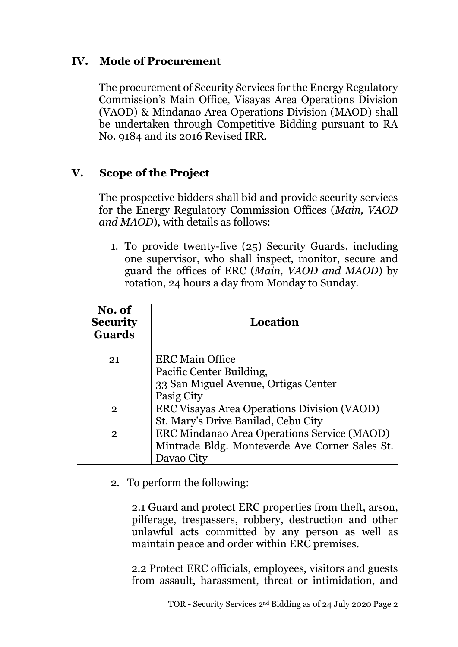### **IV. Mode of Procurement**

The procurement of Security Services for the Energy Regulatory Commission's Main Office, Visayas Area Operations Division (VAOD) & Mindanao Area Operations Division (MAOD) shall be undertaken through Competitive Bidding pursuant to RA No. 9184 and its 2016 Revised IRR.

### **V. Scope of the Project**

The prospective bidders shall bid and provide security services for the Energy Regulatory Commission Offices (*Main, VAOD and MAOD*), with details as follows:

1. To provide twenty-five (25) Security Guards, including one supervisor, who shall inspect, monitor, secure and guard the offices of ERC (*Main, VAOD and MAOD*) by rotation, 24 hours a day from Monday to Sunday.

| No. of<br><b>Security</b><br><b>Guards</b> | Location                                       |
|--------------------------------------------|------------------------------------------------|
| 21                                         | <b>ERC Main Office</b>                         |
|                                            | Pacific Center Building,                       |
|                                            | 33 San Miguel Avenue, Ortigas Center           |
|                                            | Pasig City                                     |
| $\overline{2}$                             | ERC Visayas Area Operations Division (VAOD)    |
|                                            | St. Mary's Drive Banilad, Cebu City            |
| $\overline{2}$                             | ERC Mindanao Area Operations Service (MAOD)    |
|                                            | Mintrade Bldg. Monteverde Ave Corner Sales St. |
|                                            | Davao City                                     |

2. To perform the following:

2.1 Guard and protect ERC properties from theft, arson, pilferage, trespassers, robbery, destruction and other unlawful acts committed by any person as well as maintain peace and order within ERC premises.

 2.2 Protect ERC officials, employees, visitors and guests from assault, harassment, threat or intimidation, and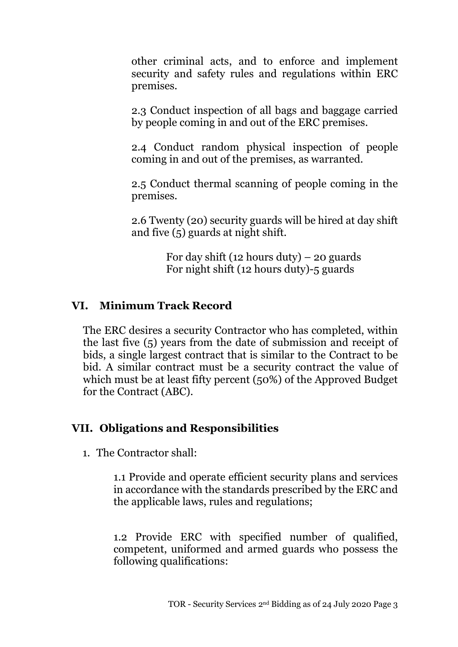other criminal acts, and to enforce and implement security and safety rules and regulations within ERC premises.

2.3 Conduct inspection of all bags and baggage carried by people coming in and out of the ERC premises.

2.4 Conduct random physical inspection of people coming in and out of the premises, as warranted.

2.5 Conduct thermal scanning of people coming in the premises.

2.6 Twenty (20) security guards will be hired at day shift and five (5) guards at night shift.

> For day shift (12 hours duty) – 20 guards For night shift (12 hours duty)-5 guards

#### **VI. Minimum Track Record**

The ERC desires a security Contractor who has completed, within the last five (5) years from the date of submission and receipt of bids, a single largest contract that is similar to the Contract to be bid. A similar contract must be a security contract the value of which must be at least fifty percent (50%) of the Approved Budget for the Contract (ABC).

#### **VII. Obligations and Responsibilities**

1. The Contractor shall:

1.1 Provide and operate efficient security plans and services in accordance with the standards prescribed by the ERC and the applicable laws, rules and regulations;

1.2 Provide ERC with specified number of qualified, competent, uniformed and armed guards who possess the following qualifications: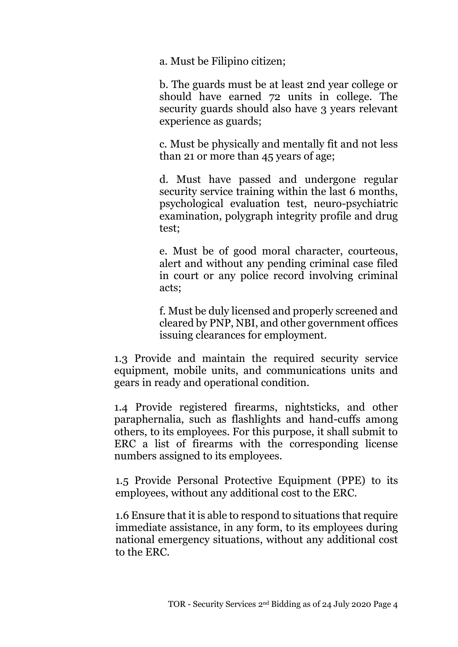a. Must be Filipino citizen;

b. The guards must be at least 2nd year college or should have earned 72 units in college. The security guards should also have 3 years relevant experience as guards;

c. Must be physically and mentally fit and not less than 21 or more than 45 years of age;

d. Must have passed and undergone regular security service training within the last 6 months, psychological evaluation test, neuro-psychiatric examination, polygraph integrity profile and drug test;

e. Must be of good moral character, courteous, alert and without any pending criminal case filed in court or any police record involving criminal acts;

f. Must be duly licensed and properly screened and cleared by PNP, NBI, and other government offices issuing clearances for employment.

1.3 Provide and maintain the required security service equipment, mobile units, and communications units and gears in ready and operational condition.

1.4 Provide registered firearms, nightsticks, and other paraphernalia, such as flashlights and hand-cuffs among others, to its employees. For this purpose, it shall submit to ERC a list of firearms with the corresponding license numbers assigned to its employees.

1.5 Provide Personal Protective Equipment (PPE) to its employees, without any additional cost to the ERC.

1.6 Ensure that it is able to respond to situations that require immediate assistance, in any form, to its employees during national emergency situations, without any additional cost to the ERC.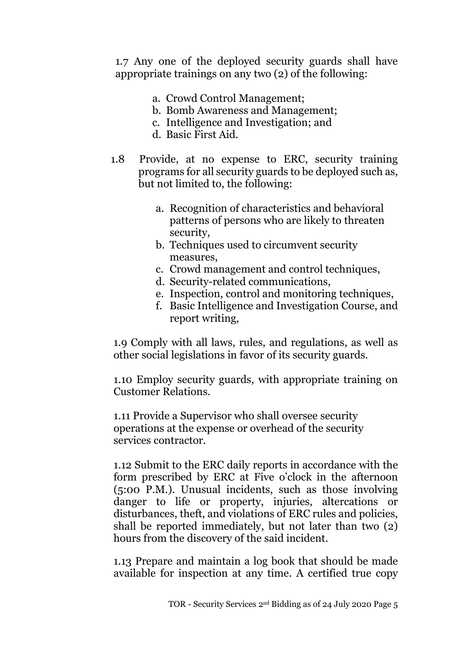1.7 Any one of the deployed security guards shall have appropriate trainings on any two (2) of the following:

- a. Crowd Control Management;
- b. Bomb Awareness and Management;
- c. Intelligence and Investigation; and
- d. Basic First Aid.
- 1.8 Provide, at no expense to ERC, security training programs for all security guards to be deployed such as, but not limited to, the following:
	- a. Recognition of characteristics and behavioral patterns of persons who are likely to threaten security,
	- b. Techniques used to circumvent security measures,
	- c. Crowd management and control techniques,
	- d. Security-related communications,
	- e. Inspection, control and monitoring techniques,
	- f. Basic Intelligence and Investigation Course, and report writing,

1.9 Comply with all laws, rules, and regulations, as well as other social legislations in favor of its security guards.

1.10 Employ security guards, with appropriate training on Customer Relations.

1.11 Provide a Supervisor who shall oversee security operations at the expense or overhead of the security services contractor.

1.12 Submit to the ERC daily reports in accordance with the form prescribed by ERC at Five o'clock in the afternoon (5:00 P.M.). Unusual incidents, such as those involving danger to life or property, injuries, altercations or disturbances, theft, and violations of ERC rules and policies, shall be reported immediately, but not later than two (2) hours from the discovery of the said incident.

1.13 Prepare and maintain a log book that should be made available for inspection at any time. A certified true copy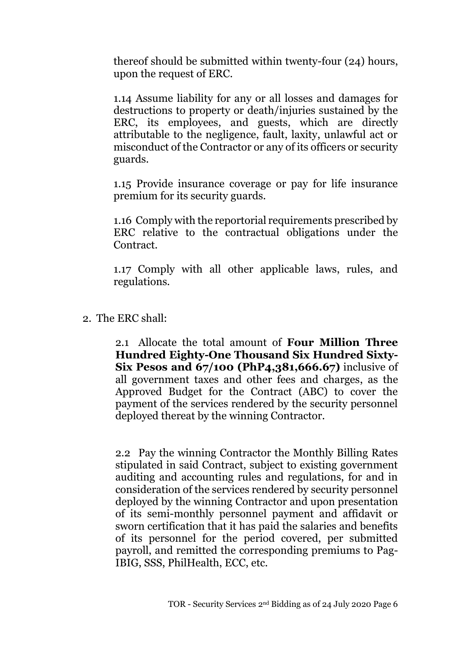thereof should be submitted within twenty-four (24) hours, upon the request of ERC.

1.14 Assume liability for any or all losses and damages for destructions to property or death/injuries sustained by the ERC, its employees, and guests, which are directly attributable to the negligence, fault, laxity, unlawful act or misconduct of the Contractor or any of its officers or security guards.

1.15 Provide insurance coverage or pay for life insurance premium for its security guards.

1.16 Comply with the reportorial requirements prescribed by ERC relative to the contractual obligations under the Contract.

1.17 Comply with all other applicable laws, rules, and regulations.

2. The ERC shall:

2.1 Allocate the total amount of **Four Million Three Hundred Eighty-One Thousand Six Hundred Sixty-Six Pesos and 67/100 (PhP4,381,666.67)** inclusive of all government taxes and other fees and charges, as the Approved Budget for the Contract (ABC) to cover the payment of the services rendered by the security personnel deployed thereat by the winning Contractor.

2.2 Pay the winning Contractor the Monthly Billing Rates stipulated in said Contract, subject to existing government auditing and accounting rules and regulations, for and in consideration of the services rendered by security personnel deployed by the winning Contractor and upon presentation of its semi-monthly personnel payment and affidavit or sworn certification that it has paid the salaries and benefits of its personnel for the period covered, per submitted payroll, and remitted the corresponding premiums to Pag-IBIG, SSS, PhilHealth, ECC, etc.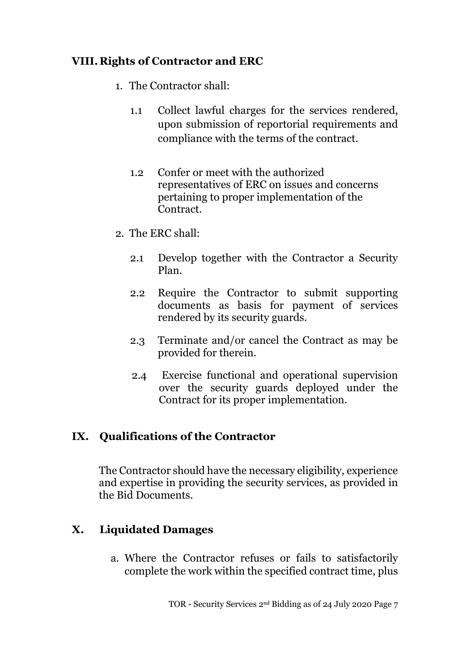## **VIII.Rights of Contractor and ERC**

- 1. The Contractor shall:
	- 1.1 Collect lawful charges for the services rendered, upon submission of reportorial requirements and compliance with the terms of the contract.
	- 1.2 Confer or meet with the authorized representatives of ERC on issues and concerns pertaining to proper implementation of the Contract.
- 2. The ERC shall:
	- 2.1 Develop together with the Contractor a Security Plan.
	- 2.2 Require the Contractor to submit supporting documents as basis for payment of services rendered by its security guards.
	- 2.3 Terminate and/or cancel the Contract as may be provided for therein.
	- 2.4 Exercise functional and operational supervision over the security guards deployed under the Contract for its proper implementation.

### **IX. Qualifications of the Contractor**

The Contractor should have the necessary eligibility, experience and expertise in providing the security services, as provided in the Bid Documents.

### **X. Liquidated Damages**

a. Where the Contractor refuses or fails to satisfactorily complete the work within the specified contract time, plus